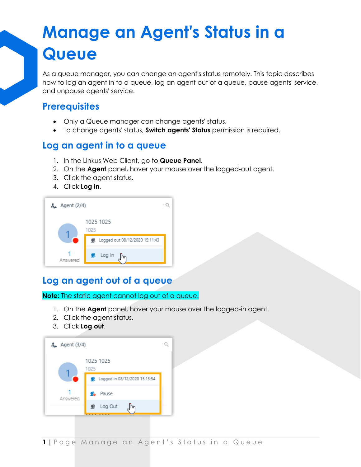# **Manage an Agent's Status in a Queue**

As a queue manager, you can change an agent's status remotely. This topic describes how to log an agent in to a queue, log an agent out of a queue, pause agents' service, and unpause agents' service.

### **Prerequisites**

- Only a Queue manager can change agents' status.
- To change agents' status, **Switch agents' Status** permission is required.

#### **Log an agent in to a queue**

- 1. In the Linkus Web Client, go to **Queue Panel**.
- 2. On the **Agent** panel, hover your mouse over the logged-out agent.
- 3. Click the agent status.
- 4. Click **Log in**.



## **Log an agent out of a queue**

**Note:** The static agent cannot log out of a queue.

- 1. On the **Agent** panel, hover your mouse over the logged-in agent.
- 2. Click the agent status.
- 3. Click **Log out**.